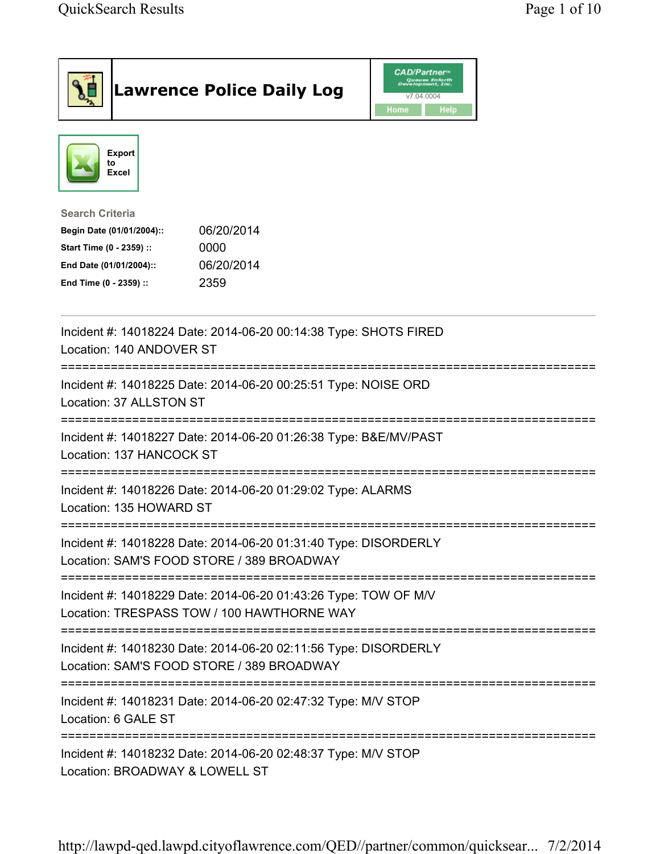|                                                                                                                                                      | <b>Lawrence Police Daily Log</b> | <b>CAD/Partner</b> ®<br>Queues Enforth<br>Development, Inc.<br>v7.04.0004<br>Home<br><b>Help</b> |  |  |
|------------------------------------------------------------------------------------------------------------------------------------------------------|----------------------------------|--------------------------------------------------------------------------------------------------|--|--|
| <b>Export</b><br>to<br>Excel                                                                                                                         |                                  |                                                                                                  |  |  |
| <b>Search Criteria</b><br>Begin Date (01/01/2004)::<br>Start Time (0 - 2359) ::<br>0000<br>End Date (01/01/2004)::<br>2359<br>End Time (0 - 2359) :: | 06/20/2014<br>06/20/2014         |                                                                                                  |  |  |
| Incident #: 14018224 Date: 2014-06-20 00:14:38 Type: SHOTS FIRED<br>Location: 140 ANDOVER ST                                                         |                                  |                                                                                                  |  |  |
| Incident #: 14018225 Date: 2014-06-20 00:25:51 Type: NOISE ORD<br>Location: 37 ALLSTON ST                                                            |                                  |                                                                                                  |  |  |
| Incident #: 14018227 Date: 2014-06-20 01:26:38 Type: B&E/MV/PAST<br>Location: 137 HANCOCK ST                                                         |                                  |                                                                                                  |  |  |
| Incident #: 14018226 Date: 2014-06-20 01:29:02 Type: ALARMS<br>Location: 135 HOWARD ST                                                               |                                  |                                                                                                  |  |  |
| Incident #: 14018228 Date: 2014-06-20 01:31:40 Type: DISORDERLY<br>Location: SAM'S FOOD STORE / 389 BROADWAY                                         |                                  |                                                                                                  |  |  |
| Incident #: 14018229 Date: 2014-06-20 01:43:26 Type: TOW OF M/V<br>Location: TRESPASS TOW / 100 HAWTHORNE WAY                                        |                                  |                                                                                                  |  |  |
| Incident #: 14018230 Date: 2014-06-20 02:11:56 Type: DISORDERLY<br>Location: SAM'S FOOD STORE / 389 BROADWAY                                         |                                  |                                                                                                  |  |  |
| =============================<br>Incident #: 14018231 Date: 2014-06-20 02:47:32 Type: M/V STOP<br>Location: 6 GALE ST                                |                                  |                                                                                                  |  |  |
| Incident #: 14018232 Date: 2014-06-20 02:48:37 Type: M/V STOP<br>Location: BROADWAY & LOWELL ST                                                      |                                  |                                                                                                  |  |  |

http://lawpd-qed.lawpd.cityoflawrence.com/QED//partner/common/quicksear... 7/2/2014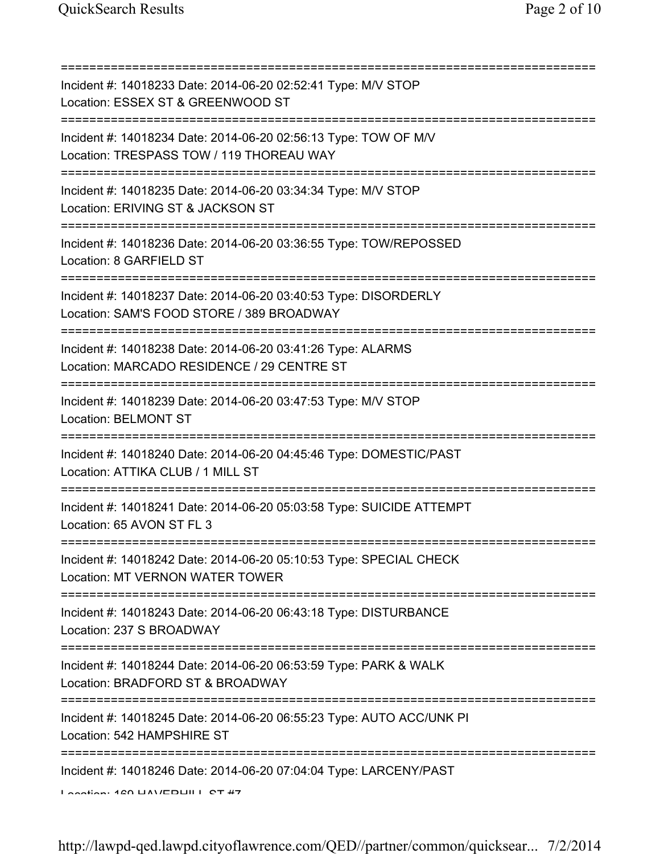| Incident #: 14018233 Date: 2014-06-20 02:52:41 Type: M/V STOP<br>Location: ESSEX ST & GREENWOOD ST                                  |
|-------------------------------------------------------------------------------------------------------------------------------------|
| Incident #: 14018234 Date: 2014-06-20 02:56:13 Type: TOW OF M/V<br>Location: TRESPASS TOW / 119 THOREAU WAY                         |
| Incident #: 14018235 Date: 2014-06-20 03:34:34 Type: M/V STOP<br>Location: ERIVING ST & JACKSON ST<br>============================= |
| Incident #: 14018236 Date: 2014-06-20 03:36:55 Type: TOW/REPOSSED<br>Location: 8 GARFIELD ST                                        |
| Incident #: 14018237 Date: 2014-06-20 03:40:53 Type: DISORDERLY<br>Location: SAM'S FOOD STORE / 389 BROADWAY                        |
| Incident #: 14018238 Date: 2014-06-20 03:41:26 Type: ALARMS<br>Location: MARCADO RESIDENCE / 29 CENTRE ST                           |
| Incident #: 14018239 Date: 2014-06-20 03:47:53 Type: M/V STOP<br><b>Location: BELMONT ST</b>                                        |
| Incident #: 14018240 Date: 2014-06-20 04:45:46 Type: DOMESTIC/PAST<br>Location: ATTIKA CLUB / 1 MILL ST                             |
| Incident #: 14018241 Date: 2014-06-20 05:03:58 Type: SUICIDE ATTEMPT<br>Location: 65 AVON ST FL 3                                   |
| Incident #: 14018242 Date: 2014-06-20 05:10:53 Type: SPECIAL CHECK<br>Location: MT VERNON WATER TOWER                               |
| Incident #: 14018243 Date: 2014-06-20 06:43:18 Type: DISTURBANCE<br>Location: 237 S BROADWAY                                        |
| Incident #: 14018244 Date: 2014-06-20 06:53:59 Type: PARK & WALK<br>Location: BRADFORD ST & BROADWAY                                |
| Incident #: 14018245 Date: 2014-06-20 06:55:23 Type: AUTO ACC/UNK PI<br>Location: 542 HAMPSHIRE ST                                  |
| Incident #: 14018246 Date: 2014-06-20 07:04:04 Type: LARCENY/PAST<br>$A$ coofian: $A$ CO LIAVEDLIII CT $#7$                         |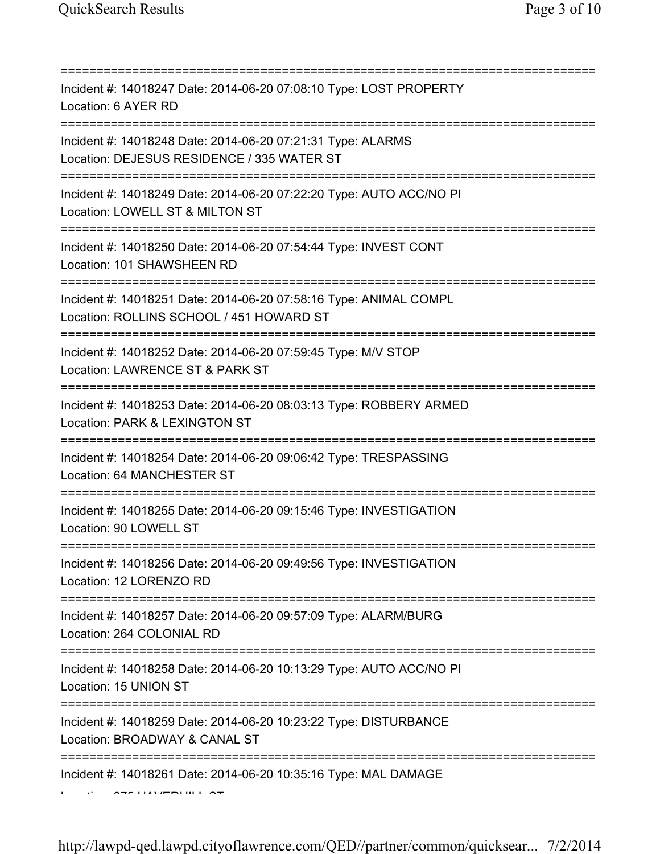| Incident #: 14018247 Date: 2014-06-20 07:08:10 Type: LOST PROPERTY<br>Location: 6 AYER RD<br>==============================               |
|-------------------------------------------------------------------------------------------------------------------------------------------|
| Incident #: 14018248 Date: 2014-06-20 07:21:31 Type: ALARMS<br>Location: DEJESUS RESIDENCE / 335 WATER ST<br>============================ |
| Incident #: 14018249 Date: 2014-06-20 07:22:20 Type: AUTO ACC/NO PI<br>Location: LOWELL ST & MILTON ST                                    |
| Incident #: 14018250 Date: 2014-06-20 07:54:44 Type: INVEST CONT<br>Location: 101 SHAWSHEEN RD                                            |
| Incident #: 14018251 Date: 2014-06-20 07:58:16 Type: ANIMAL COMPL<br>Location: ROLLINS SCHOOL / 451 HOWARD ST                             |
| Incident #: 14018252 Date: 2014-06-20 07:59:45 Type: M/V STOP<br>Location: LAWRENCE ST & PARK ST                                          |
| Incident #: 14018253 Date: 2014-06-20 08:03:13 Type: ROBBERY ARMED<br>Location: PARK & LEXINGTON ST                                       |
| Incident #: 14018254 Date: 2014-06-20 09:06:42 Type: TRESPASSING<br>Location: 64 MANCHESTER ST                                            |
| Incident #: 14018255 Date: 2014-06-20 09:15:46 Type: INVESTIGATION<br>Location: 90 LOWELL ST                                              |
| Incident #: 14018256 Date: 2014-06-20 09:49:56 Type: INVESTIGATION<br>Location: 12 LORENZO RD                                             |
| Incident #: 14018257 Date: 2014-06-20 09:57:09 Type: ALARM/BURG<br>Location: 264 COLONIAL RD                                              |
| Incident #: 14018258 Date: 2014-06-20 10:13:29 Type: AUTO ACC/NO PI<br>Location: 15 UNION ST                                              |
| Incident #: 14018259 Date: 2014-06-20 10:23:22 Type: DISTURBANCE<br>Location: BROADWAY & CANAL ST                                         |
| Incident #: 14018261 Date: 2014-06-20 10:35:16 Type: MAL DAMAGE                                                                           |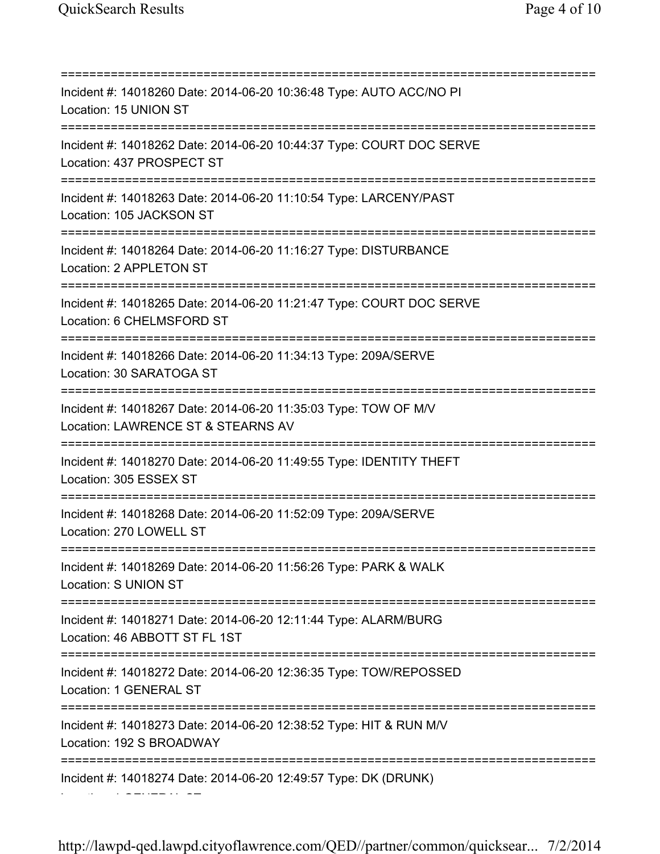Location: 1 GENERAL ST

=========================================================================== Incident #: 14018260 Date: 2014-06-20 10:36:48 Type: AUTO ACC/NO PI Location: 15 UNION ST =========================================================================== Incident #: 14018262 Date: 2014-06-20 10:44:37 Type: COURT DOC SERVE Location: 437 PROSPECT ST =========================================================================== Incident #: 14018263 Date: 2014-06-20 11:10:54 Type: LARCENY/PAST Location: 105 JACKSON ST =========================================================================== Incident #: 14018264 Date: 2014-06-20 11:16:27 Type: DISTURBANCE Location: 2 APPLETON ST =========================================================================== Incident #: 14018265 Date: 2014-06-20 11:21:47 Type: COURT DOC SERVE Location: 6 CHELMSFORD ST =========================================================================== Incident #: 14018266 Date: 2014-06-20 11:34:13 Type: 209A/SERVE Location: 30 SARATOGA ST =========================================================================== Incident #: 14018267 Date: 2014-06-20 11:35:03 Type: TOW OF M/V Location: LAWRENCE ST & STEARNS AV =========================================================================== Incident #: 14018270 Date: 2014-06-20 11:49:55 Type: IDENTITY THEFT Location: 305 ESSEX ST =========================================================================== Incident #: 14018268 Date: 2014-06-20 11:52:09 Type: 209A/SERVE Location: 270 LOWELL ST =========================================================================== Incident #: 14018269 Date: 2014-06-20 11:56:26 Type: PARK & WALK Location: S UNION ST =========================================================================== Incident #: 14018271 Date: 2014-06-20 12:11:44 Type: ALARM/BURG Location: 46 ABBOTT ST FL 1ST =========================================================================== Incident #: 14018272 Date: 2014-06-20 12:36:35 Type: TOW/REPOSSED Location: 1 GENERAL ST =========================================================================== Incident #: 14018273 Date: 2014-06-20 12:38:52 Type: HIT & RUN M/V Location: 192 S BROADWAY =========================================================================== Incident #: 14018274 Date: 2014-06-20 12:49:57 Type: DK (DRUNK)

http://lawpd-qed.lawpd.cityoflawrence.com/QED//partner/common/quicksear... 7/2/2014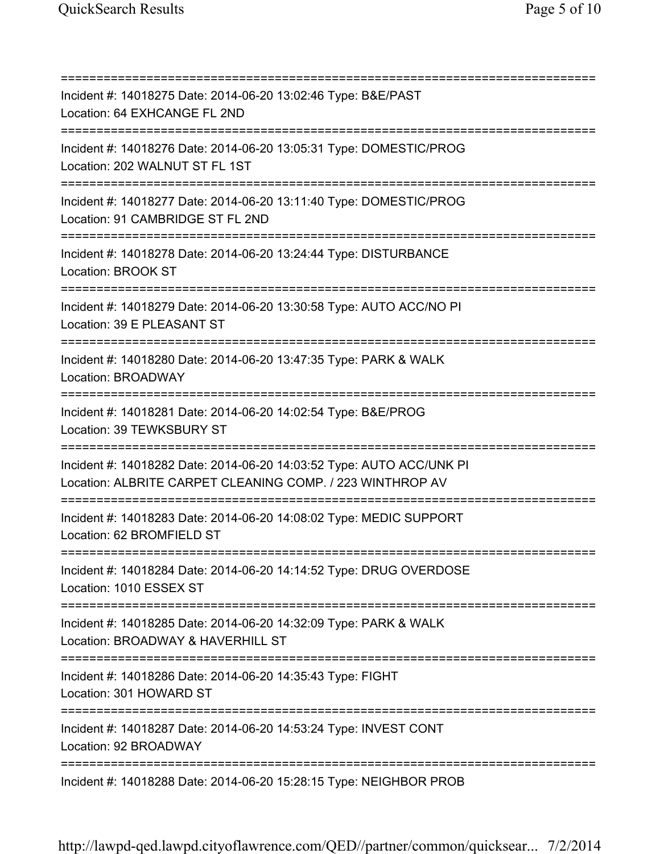=========================================================================== Incident #: 14018275 Date: 2014-06-20 13:02:46 Type: B&E/PAST Location: 64 EXHCANGE FL 2ND =========================================================================== Incident #: 14018276 Date: 2014-06-20 13:05:31 Type: DOMESTIC/PROG Location: 202 WALNUT ST FL 1ST =========================================================================== Incident #: 14018277 Date: 2014-06-20 13:11:40 Type: DOMESTIC/PROG Location: 91 CAMBRIDGE ST FL 2ND =========================================================================== Incident #: 14018278 Date: 2014-06-20 13:24:44 Type: DISTURBANCE Location: BROOK ST =========================================================================== Incident #: 14018279 Date: 2014-06-20 13:30:58 Type: AUTO ACC/NO PI Location: 39 E PLEASANT ST =========================================================================== Incident #: 14018280 Date: 2014-06-20 13:47:35 Type: PARK & WALK Location: BROADWAY =========================================================================== Incident #: 14018281 Date: 2014-06-20 14:02:54 Type: B&E/PROG Location: 39 TEWKSBURY ST =========================================================================== Incident #: 14018282 Date: 2014-06-20 14:03:52 Type: AUTO ACC/UNK PI Location: ALBRITE CARPET CLEANING COMP. / 223 WINTHROP AV =========================================================================== Incident #: 14018283 Date: 2014-06-20 14:08:02 Type: MEDIC SUPPORT Location: 62 BROMFIELD ST =========================================================================== Incident #: 14018284 Date: 2014-06-20 14:14:52 Type: DRUG OVERDOSE Location: 1010 ESSEX ST =========================================================================== Incident #: 14018285 Date: 2014-06-20 14:32:09 Type: PARK & WALK Location: BROADWAY & HAVERHILL ST =========================================================================== Incident #: 14018286 Date: 2014-06-20 14:35:43 Type: FIGHT Location: 301 HOWARD ST =========================================================================== Incident #: 14018287 Date: 2014-06-20 14:53:24 Type: INVEST CONT Location: 92 BROADWAY =========================================================================== Incident #: 14018288 Date: 2014-06-20 15:28:15 Type: NEIGHBOR PROB

http://lawpd-qed.lawpd.cityoflawrence.com/QED//partner/common/quicksear... 7/2/2014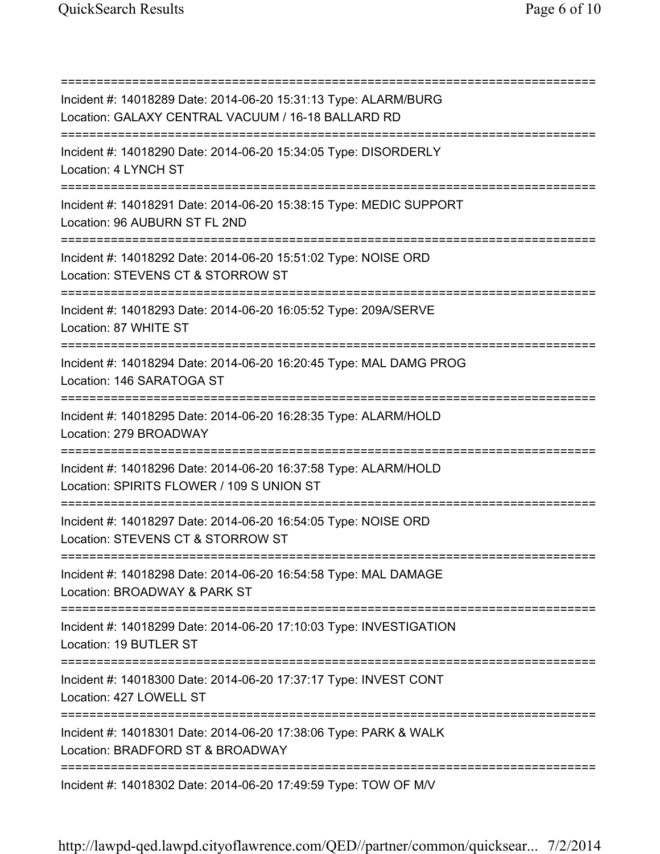| Incident #: 14018289 Date: 2014-06-20 15:31:13 Type: ALARM/BURG<br>Location: GALAXY CENTRAL VACUUM / 16-18 BALLARD RD                             |
|---------------------------------------------------------------------------------------------------------------------------------------------------|
| Incident #: 14018290 Date: 2014-06-20 15:34:05 Type: DISORDERLY<br>Location: 4 LYNCH ST<br>======================                                 |
| Incident #: 14018291 Date: 2014-06-20 15:38:15 Type: MEDIC SUPPORT<br>Location: 96 AUBURN ST FL 2ND                                               |
| Incident #: 14018292 Date: 2014-06-20 15:51:02 Type: NOISE ORD<br>Location: STEVENS CT & STORROW ST                                               |
| Incident #: 14018293 Date: 2014-06-20 16:05:52 Type: 209A/SERVE<br>Location: 87 WHITE ST                                                          |
| Incident #: 14018294 Date: 2014-06-20 16:20:45 Type: MAL DAMG PROG<br>Location: 146 SARATOGA ST                                                   |
| Incident #: 14018295 Date: 2014-06-20 16:28:35 Type: ALARM/HOLD<br>Location: 279 BROADWAY                                                         |
| Incident #: 14018296 Date: 2014-06-20 16:37:58 Type: ALARM/HOLD<br>Location: SPIRITS FLOWER / 109 S UNION ST<br>================================= |
| Incident #: 14018297 Date: 2014-06-20 16:54:05 Type: NOISE ORD<br>Location: STEVENS CT & STORROW ST                                               |
| Incident #: 14018298 Date: 2014-06-20 16:54:58 Type: MAL DAMAGE<br>Location: BROADWAY & PARK ST                                                   |
| Incident #: 14018299 Date: 2014-06-20 17:10:03 Type: INVESTIGATION<br>Location: 19 BUTLER ST                                                      |
| Incident #: 14018300 Date: 2014-06-20 17:37:17 Type: INVEST CONT<br>Location: 427 LOWELL ST                                                       |
| Incident #: 14018301 Date: 2014-06-20 17:38:06 Type: PARK & WALK<br>Location: BRADFORD ST & BROADWAY                                              |
| Incident #: 14018302 Date: 2014-06-20 17:49:59 Type: TOW OF M/V                                                                                   |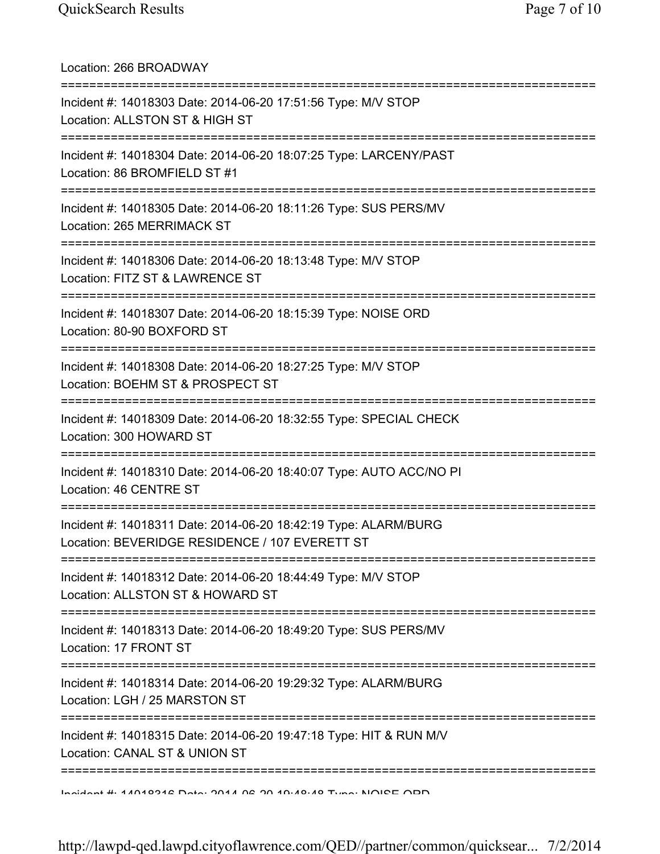| Location: 266 BROADWAY                                                                                                                  |
|-----------------------------------------------------------------------------------------------------------------------------------------|
| Incident #: 14018303 Date: 2014-06-20 17:51:56 Type: M/V STOP<br>Location: ALLSTON ST & HIGH ST<br>=====================                |
| Incident #: 14018304 Date: 2014-06-20 18:07:25 Type: LARCENY/PAST<br>Location: 86 BROMFIELD ST #1                                       |
| Incident #: 14018305 Date: 2014-06-20 18:11:26 Type: SUS PERS/MV<br>Location: 265 MERRIMACK ST<br>===================================== |
| Incident #: 14018306 Date: 2014-06-20 18:13:48 Type: M/V STOP<br>Location: FITZ ST & LAWRENCE ST                                        |
| Incident #: 14018307 Date: 2014-06-20 18:15:39 Type: NOISE ORD<br>Location: 80-90 BOXFORD ST                                            |
| Incident #: 14018308 Date: 2014-06-20 18:27:25 Type: M/V STOP<br>Location: BOEHM ST & PROSPECT ST                                       |
| ========<br>Incident #: 14018309 Date: 2014-06-20 18:32:55 Type: SPECIAL CHECK<br>Location: 300 HOWARD ST                               |
| Incident #: 14018310 Date: 2014-06-20 18:40:07 Type: AUTO ACC/NO PI<br>Location: 46 CENTRE ST                                           |
| Incident #: 14018311 Date: 2014-06-20 18:42:19 Type: ALARM/BURG<br>Location: BEVERIDGE RESIDENCE / 107 EVERETT ST                       |
| Incident #: 14018312 Date: 2014-06-20 18:44:49 Type: M/V STOP<br>Location: ALLSTON ST & HOWARD ST                                       |
| Incident #: 14018313 Date: 2014-06-20 18:49:20 Type: SUS PERS/MV<br>Location: 17 FRONT ST                                               |
| Incident #: 14018314 Date: 2014-06-20 19:29:32 Type: ALARM/BURG<br>Location: LGH / 25 MARSTON ST                                        |
| :============<br>Incident #: 14018315 Date: 2014-06-20 19:47:18 Type: HIT & RUN M/V<br>Location: CANAL ST & UNION ST                    |
| <u>Indident #: 47040948 Data: 2047 08 20 40:40:40 Time: NIOIRE ODD</u>                                                                  |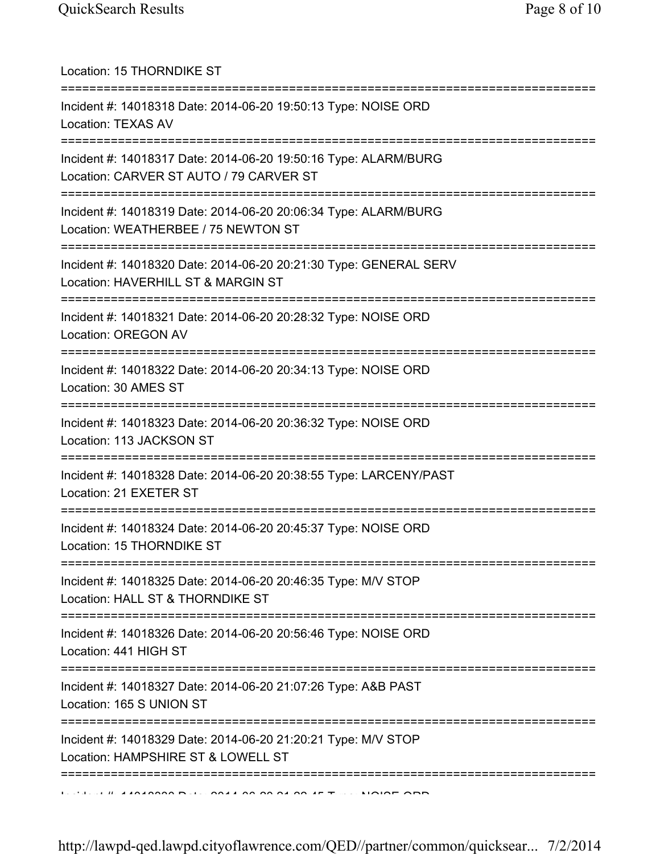| Location: 15 THORNDIKE ST<br>====================================                                                                |
|----------------------------------------------------------------------------------------------------------------------------------|
| Incident #: 14018318 Date: 2014-06-20 19:50:13 Type: NOISE ORD<br><b>Location: TEXAS AV</b><br>================================  |
| Incident #: 14018317 Date: 2014-06-20 19:50:16 Type: ALARM/BURG<br>Location: CARVER ST AUTO / 79 CARVER ST                       |
| Incident #: 14018319 Date: 2014-06-20 20:06:34 Type: ALARM/BURG<br>Location: WEATHERBEE / 75 NEWTON ST                           |
| Incident #: 14018320 Date: 2014-06-20 20:21:30 Type: GENERAL SERV<br>Location: HAVERHILL ST & MARGIN ST                          |
| Incident #: 14018321 Date: 2014-06-20 20:28:32 Type: NOISE ORD<br><b>Location: OREGON AV</b>                                     |
| Incident #: 14018322 Date: 2014-06-20 20:34:13 Type: NOISE ORD<br>Location: 30 AMES ST                                           |
| ===============================<br>Incident #: 14018323 Date: 2014-06-20 20:36:32 Type: NOISE ORD<br>Location: 113 JACKSON ST    |
| Incident #: 14018328 Date: 2014-06-20 20:38:55 Type: LARCENY/PAST<br>Location: 21 EXETER ST                                      |
| Incident #: 14018324 Date: 2014-06-20 20:45:37 Type: NOISE ORD<br>Location: 15 THORNDIKE ST                                      |
| ===========================<br>Incident #: 14018325 Date: 2014-06-20 20:46:35 Type: M/V STOP<br>Location: HALL ST & THORNDIKE ST |
| Incident #: 14018326 Date: 2014-06-20 20:56:46 Type: NOISE ORD<br>Location: 441 HIGH ST                                          |
| Incident #: 14018327 Date: 2014-06-20 21:07:26 Type: A&B PAST<br>Location: 165 S UNION ST                                        |
| Incident #: 14018329 Date: 2014-06-20 21:20:21 Type: M/V STOP<br>Location: HAMPSHIRE ST & LOWELL ST                              |
|                                                                                                                                  |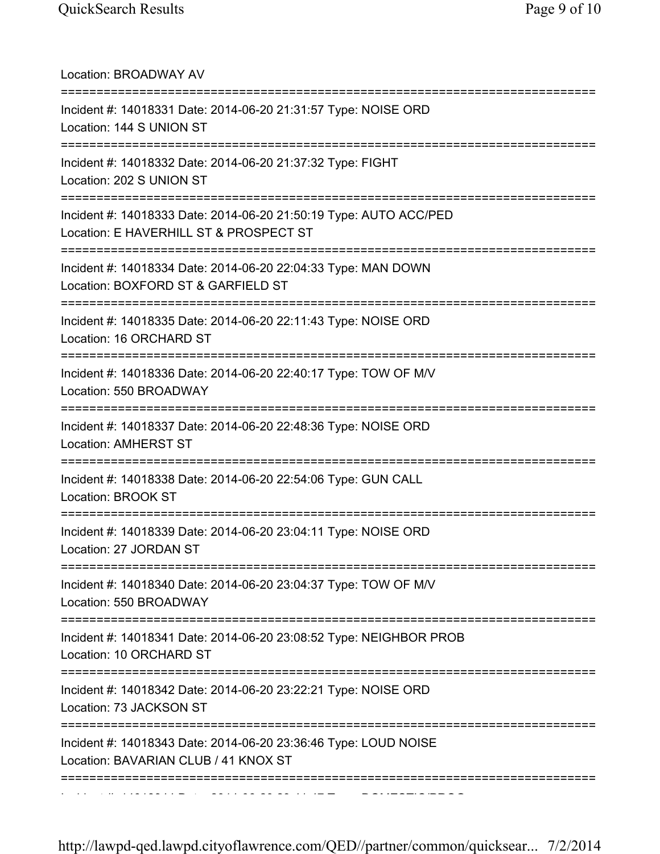| Location: BROADWAY AV                                                                                                           |
|---------------------------------------------------------------------------------------------------------------------------------|
| Incident #: 14018331 Date: 2014-06-20 21:31:57 Type: NOISE ORD<br>Location: 144 S UNION ST                                      |
| Incident #: 14018332 Date: 2014-06-20 21:37:32 Type: FIGHT<br>Location: 202 S UNION ST                                          |
| Incident #: 14018333 Date: 2014-06-20 21:50:19 Type: AUTO ACC/PED<br>Location: E HAVERHILL ST & PROSPECT ST                     |
| Incident #: 14018334 Date: 2014-06-20 22:04:33 Type: MAN DOWN<br>Location: BOXFORD ST & GARFIELD ST                             |
| ========================<br>Incident #: 14018335 Date: 2014-06-20 22:11:43 Type: NOISE ORD<br>Location: 16 ORCHARD ST           |
| Incident #: 14018336 Date: 2014-06-20 22:40:17 Type: TOW OF M/V<br>Location: 550 BROADWAY                                       |
| Incident #: 14018337 Date: 2014-06-20 22:48:36 Type: NOISE ORD<br><b>Location: AMHERST ST</b>                                   |
| Incident #: 14018338 Date: 2014-06-20 22:54:06 Type: GUN CALL<br>Location: BROOK ST                                             |
| ===================================<br>Incident #: 14018339 Date: 2014-06-20 23:04:11 Type: NOISE ORD<br>Location: 27 JORDAN ST |
| Incident #: 14018340 Date: 2014-06-20 23:04:37 Type: TOW OF M/V<br>Location: 550 BROADWAY                                       |
| Incident #: 14018341 Date: 2014-06-20 23:08:52 Type: NEIGHBOR PROB<br>Location: 10 ORCHARD ST                                   |
| Incident #: 14018342 Date: 2014-06-20 23:22:21 Type: NOISE ORD<br>Location: 73 JACKSON ST                                       |
| Incident #: 14018343 Date: 2014-06-20 23:36:46 Type: LOUD NOISE<br>Location: BAVARIAN CLUB / 41 KNOX ST                         |
| ===============================                                                                                                 |